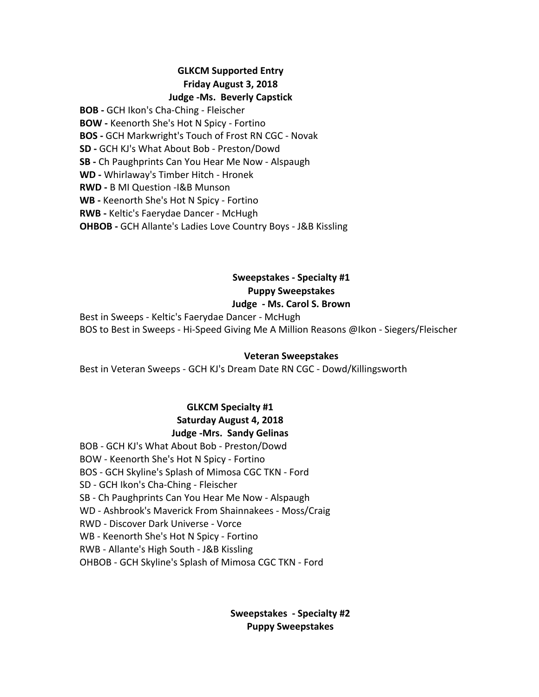### **GLKCM Supported Entry Friday August 3, 2018 Judge -Ms. Beverly Capstick**

**BOB** - GCH Ikon's Cha-Ching - Fleischer **BOW** - Keenorth She's Hot N Spicy - Fortino **BOS** - GCH Markwright's Touch of Frost RN CGC - Novak **SD** - GCH KJ's What About Bob - Preston/Dowd **SB** - Ch Paughprints Can You Hear Me Now - Alspaugh **WD** - Whirlaway's Timber Hitch - Hronek **RWD** - B MI Question -I&B Munson **WB** - Keenorth She's Hot N Spicy - Fortino **RWB** - Keltic's Faerydae Dancer - McHugh **OHBOB** - GCH Allante's Ladies Love Country Boys - J&B Kissling

# **Sweepstakes - Specialty #1 Puppy Sweepstakes**

### **Judge - Ms. Carol S. Brown**

Best in Sweeps - Keltic's Faerydae Dancer - McHugh BOS to Best in Sweeps - Hi-Speed Giving Me A Million Reasons @Ikon - Siegers/Fleischer

### **Veteran Sweepstakes**

Best in Veteran Sweeps - GCH KJ's Dream Date RN CGC - Dowd/Killingsworth

# **GLKCM Specialty #1** Saturday August 4, 2018 **Judge -Mrs. Sandy Gelinas**

BOB - GCH KJ's What About Bob - Preston/Dowd BOW - Keenorth She's Hot N Spicy - Fortino BOS - GCH Skyline's Splash of Mimosa CGC TKN - Ford SD - GCH Ikon's Cha-Ching - Fleischer SB - Ch Paughprints Can You Hear Me Now - Alspaugh WD - Ashbrook's Maverick From Shainnakees - Moss/Craig RWD - Discover Dark Universe - Vorce WB - Keenorth She's Hot N Spicy - Fortino RWB - Allante's High South - J&B Kissling OHBOB - GCH Skyline's Splash of Mimosa CGC TKN - Ford

# **Sweepstakes - Specialty #2 Puppy Sweepstakes**